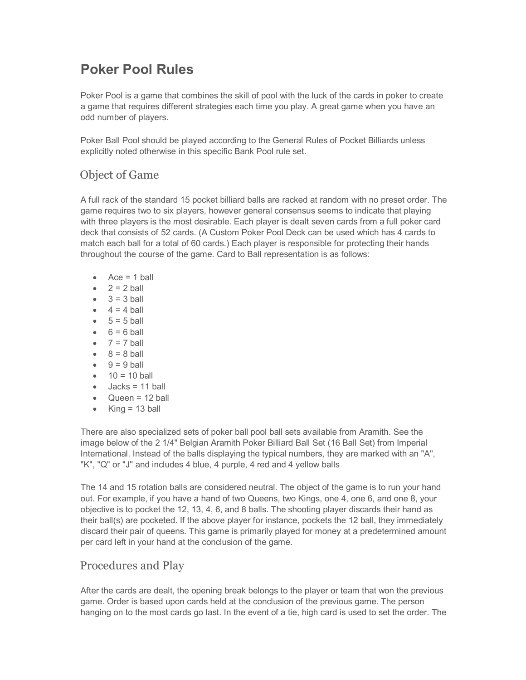# **Poker Pool Rules**

Poker Pool is a game that combines the skill of pool with the luck of the cards in poker to create a game that requires different strategies each time you play. A great game when you have an odd number of players.

Poker Ball Pool should be played according to the General Rules of Pocket Billiards unless explicitly noted otherwise in this specific Bank Pool rule set.

# Object of Game

A full rack of the standard 15 pocket billiard balls are racked at random with no preset order. The game requires two to six players, however general consensus seems to indicate that playing with three players is the most desirable. Each player is dealt seven cards from a full poker card deck that consists of 52 cards. (A Custom Poker Pool Deck can be used which has 4 cards to match each ball for a total of 60 cards.) Each player is responsible for protecting their hands throughout the course of the game. Card to Ball representation is as follows:

- $\triangleleft$  Ace = 1 ball
- $\bullet$  2 = 2 ball
- $\bullet$  3 = 3 ball
- $\bullet$  4 = 4 ball
- $5 = 5$  ball
- $6 = 6$  ball
- $\bullet$  7 = 7 ball
- $\bullet$  8 = 8 ball
- $\bullet$  9 = 9 ball
- $\bullet$  10 = 10 ball
- $\bullet$  Jacks = 11 ball
- · Queen = 12 ball
- $\bullet$  King = 13 ball

There are also specialized sets of poker ball pool ball sets available from Aramith. See the image below of the 2 1/4" Belgian Aramith Poker Billiard Ball Set (16 Ball Set) from Imperial International. Instead of the balls displaying the typical numbers, they are marked with an "A", "K", "Q" or "J" and includes 4 blue, 4 purple, 4 red and 4 yellow balls

The 14 and 15 rotation balls are considered neutral. The object of the game is to run your hand out. For example, if you have a hand of two Queens, two Kings, one 4, one 6, and one 8, your objective is to pocket the 12, 13, 4, 6, and 8 balls. The shooting player discards their hand as their ball(s) are pocketed. If the above player for instance, pockets the 12 ball, they immediately discard their pair of queens. This game is primarily played for money at a predetermined amount per card left in your hand at the conclusion of the game.

#### Procedures and Play

After the cards are dealt, the opening break belongs to the player or team that won the previous game. Order is based upon cards held at the conclusion of the previous game. The person hanging on to the most cards go last. In the event of a tie, high card is used to set the order. The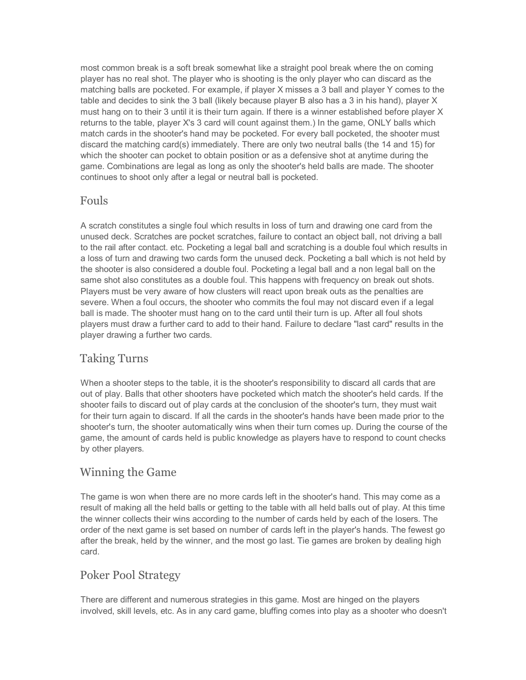most common break is a soft break somewhat like a straight pool break where the on coming player has no real shot. The player who is shooting is the only player who can discard as the matching balls are pocketed. For example, if player X misses a 3 ball and player Y comes to the table and decides to sink the 3 ball (likely because player B also has a 3 in his hand), player X must hang on to their 3 until it is their turn again. If there is a winner established before player X returns to the table, player X's 3 card will count against them.) In the game, ONLY balls which match cards in the shooter's hand may be pocketed. For every ball pocketed, the shooter must discard the matching card(s) immediately. There are only two neutral balls (the 14 and 15) for which the shooter can pocket to obtain position or as a defensive shot at anytime during the game. Combinations are legal as long as only the shooter's held balls are made. The shooter continues to shoot only after a legal or neutral ball is pocketed.

#### Fouls

A scratch constitutes a single foul which results in loss of turn and drawing one card from the unused deck. Scratches are pocket scratches, failure to contact an object ball, not driving a ball to the rail after contact. etc. Pocketing a legal ball and scratching is a double foul which results in a loss of turn and drawing two cards form the unused deck. Pocketing a ball which is not held by the shooter is also considered a double foul. Pocketing a legal ball and a non legal ball on the same shot also constitutes as a double foul. This happens with frequency on break out shots. Players must be very aware of how clusters will react upon break outs as the penalties are severe. When a foul occurs, the shooter who commits the foul may not discard even if a legal ball is made. The shooter must hang on to the card until their turn is up. After all foul shots players must draw a further card to add to their hand. Failure to declare "last card" results in the player drawing a further two cards.

## Taking Turns

When a shooter steps to the table, it is the shooter's responsibility to discard all cards that are out of play. Balls that other shooters have pocketed which match the shooter's held cards. If the shooter fails to discard out of play cards at the conclusion of the shooter's turn, they must wait for their turn again to discard. If all the cards in the shooter's hands have been made prior to the shooter's turn, the shooter automatically wins when their turn comes up. During the course of the game, the amount of cards held is public knowledge as players have to respond to count checks by other players.

#### Winning the Game

The game is won when there are no more cards left in the shooter's hand. This may come as a result of making all the held balls or getting to the table with all held balls out of play. At this time the winner collects their wins according to the number of cards held by each of the losers. The order of the next game is set based on number of cards left in the player's hands. The fewest go after the break, held by the winner, and the most go last. Tie games are broken by dealing high card.

## Poker Pool Strategy

There are different and numerous strategies in this game. Most are hinged on the players involved, skill levels, etc. As in any card game, bluffing comes into play as a shooter who doesn't